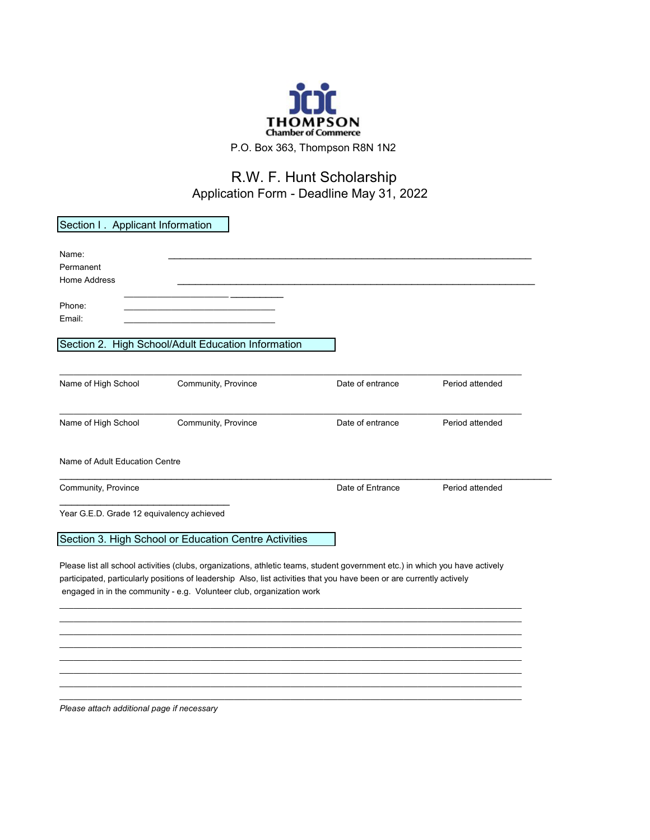

## R.W. F. Hunt Scholarship Application Form - Deadline May 31, 2022

| Section I. Applicant Information          |                                                                                                                              |                  |                 |
|-------------------------------------------|------------------------------------------------------------------------------------------------------------------------------|------------------|-----------------|
|                                           |                                                                                                                              |                  |                 |
| Name:                                     |                                                                                                                              |                  |                 |
| Permanent                                 |                                                                                                                              |                  |                 |
| <b>Home Address</b>                       |                                                                                                                              |                  |                 |
|                                           |                                                                                                                              |                  |                 |
| Phone:                                    |                                                                                                                              |                  |                 |
| Email:                                    |                                                                                                                              |                  |                 |
|                                           |                                                                                                                              |                  |                 |
|                                           | Section 2. High School/Adult Education Information                                                                           |                  |                 |
|                                           |                                                                                                                              |                  |                 |
|                                           |                                                                                                                              |                  |                 |
| Name of High School                       | Community, Province                                                                                                          | Date of entrance | Period attended |
|                                           |                                                                                                                              |                  |                 |
| Name of High School                       | Community, Province                                                                                                          | Date of entrance | Period attended |
|                                           |                                                                                                                              |                  |                 |
|                                           |                                                                                                                              |                  |                 |
| Name of Adult Education Centre            |                                                                                                                              |                  |                 |
|                                           |                                                                                                                              |                  |                 |
| Community, Province                       |                                                                                                                              | Date of Entrance | Period attended |
|                                           |                                                                                                                              |                  |                 |
| Year G.E.D. Grade 12 equivalency achieved |                                                                                                                              |                  |                 |
|                                           |                                                                                                                              |                  |                 |
|                                           | Section 3. High School or Education Centre Activities                                                                        |                  |                 |
|                                           |                                                                                                                              |                  |                 |
|                                           | Please list all school activities (clubs, organizations, athletic teams, student government etc.) in which you have actively |                  |                 |
|                                           | participated, particularly positions of leadership Also, list activities that you have been or are currently actively        |                  |                 |
|                                           | engaged in in the community - e.g. Volunteer club, organization work                                                         |                  |                 |
|                                           |                                                                                                                              |                  |                 |
|                                           |                                                                                                                              |                  |                 |
|                                           |                                                                                                                              |                  |                 |
|                                           |                                                                                                                              |                  |                 |
|                                           |                                                                                                                              |                  |                 |
|                                           |                                                                                                                              |                  |                 |
|                                           |                                                                                                                              |                  |                 |
|                                           |                                                                                                                              |                  |                 |

*Please attach additional page if necessary*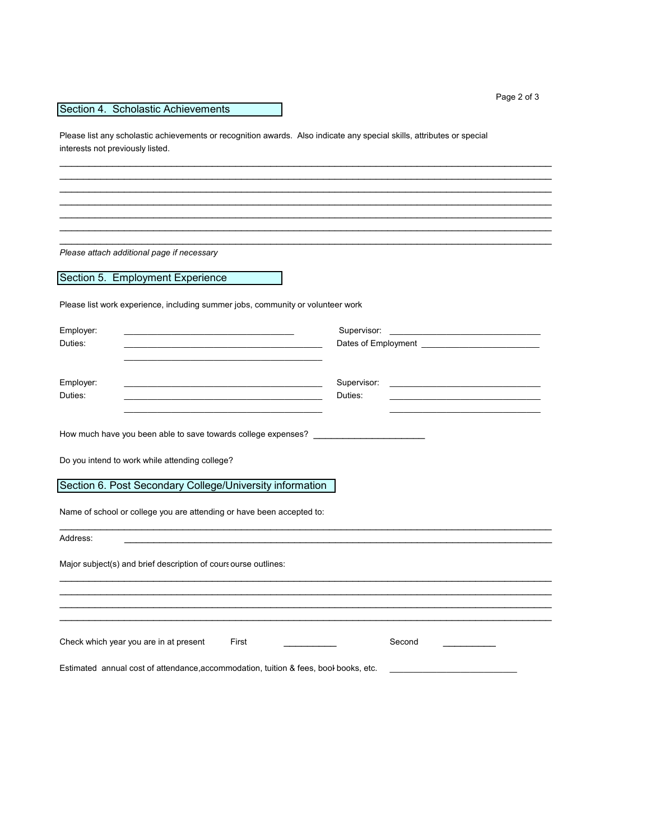## Section 4. Scholastic Achievements

Please list any scholastic achievements or recognition awards. Also indicate any special skills, attributes or special interests not previously listed.

\_\_\_\_\_\_\_\_\_\_\_\_\_\_\_\_\_\_\_\_\_\_\_\_\_\_\_\_\_\_\_\_\_\_\_\_\_\_\_\_\_\_\_\_\_\_\_\_\_\_\_\_\_\_\_\_\_\_\_\_\_\_\_\_\_\_\_\_\_\_\_\_\_\_\_\_\_\_\_\_\_\_\_\_ \_\_\_\_\_\_\_\_\_\_\_\_\_\_\_\_\_\_\_\_\_\_\_\_\_\_\_\_\_\_\_\_\_\_\_\_\_\_\_\_\_\_\_\_\_\_\_\_\_\_\_\_\_\_\_\_\_\_\_\_\_\_\_\_\_\_\_\_\_\_\_\_\_\_\_\_\_\_\_\_\_\_\_\_ \_\_\_\_\_\_\_\_\_\_\_\_\_\_\_\_\_\_\_\_\_\_\_\_\_\_\_\_\_\_\_\_\_\_\_\_\_\_\_\_\_\_\_\_\_\_\_\_\_\_\_\_\_\_\_\_\_\_\_\_\_\_\_\_\_\_\_\_\_\_\_\_\_\_\_\_\_\_\_\_\_\_\_\_ \_\_\_\_\_\_\_\_\_\_\_\_\_\_\_\_\_\_\_\_\_\_\_\_\_\_\_\_\_\_\_\_\_\_\_\_\_\_\_\_\_\_\_\_\_\_\_\_\_\_\_\_\_\_\_\_\_\_\_\_\_\_\_\_\_\_\_\_\_\_\_\_\_\_\_\_\_\_\_\_\_\_\_\_ \_\_\_\_\_\_\_\_\_\_\_\_\_\_\_\_\_\_\_\_\_\_\_\_\_\_\_\_\_\_\_\_\_\_\_\_\_\_\_\_\_\_\_\_\_\_\_\_\_\_\_\_\_\_\_\_\_\_\_\_\_\_\_\_\_\_\_\_\_\_\_\_\_\_\_\_\_\_\_\_\_\_\_\_ \_\_\_\_\_\_\_\_\_\_\_\_\_\_\_\_\_\_\_\_\_\_\_\_\_\_\_\_\_\_\_\_\_\_\_\_\_\_\_\_\_\_\_\_\_\_\_\_\_\_\_\_\_\_\_\_\_\_\_\_\_\_\_\_\_\_\_\_\_\_\_\_\_\_\_\_\_\_\_\_\_\_\_\_ \_\_\_\_\_\_\_\_\_\_\_\_\_\_\_\_\_\_\_\_\_\_\_\_\_\_\_\_\_\_\_\_\_\_\_\_\_\_\_\_\_\_\_\_\_\_\_\_\_\_\_\_\_\_\_\_\_\_\_\_\_\_\_\_\_\_\_\_\_\_\_\_\_\_\_\_\_\_\_\_\_\_\_\_

*Please attach additional page if necessary*

Section 5. Employment Experience

Please list work experience, including summer jobs, community or volunteer work

| Employer:<br><u> 1980 - Jan James James James James James James James James James James James James James James James James J</u>                                                                                                                                                                                                                                              | Supervisor:<br><u> 1989 - Johann Barbara, martin amerikan basar dan basa dan basa dan basa dalam basa dalam basa dalam basa dala</u> |  |
|--------------------------------------------------------------------------------------------------------------------------------------------------------------------------------------------------------------------------------------------------------------------------------------------------------------------------------------------------------------------------------|--------------------------------------------------------------------------------------------------------------------------------------|--|
| Duties:<br><u> 1989 - Johann Barbara, martxa alemaniar amerikan baratzaren 1980an (h. 1989).</u>                                                                                                                                                                                                                                                                               |                                                                                                                                      |  |
| Employer:<br><u> 1989 - Johann John Stein, marwolaeth a bhannaich an t-Amhair an t-Amhair an t-Amhair an t-Amhair an t-Amhair </u><br>Duties:<br>the control of the control of the control of the control of the control of the control of the control of the control of the control of the control of the control of the control of the control of the control of the control | Supervisor:<br><u> 1980 - Jan Barbara, martin da kasar Amerikaan kasar Indonesia.</u><br>Duties:                                     |  |
| How much have you been able to save towards college expenses? __________________                                                                                                                                                                                                                                                                                               |                                                                                                                                      |  |
| Do you intend to work while attending college?                                                                                                                                                                                                                                                                                                                                 |                                                                                                                                      |  |
| Section 6. Post Secondary College/University information                                                                                                                                                                                                                                                                                                                       |                                                                                                                                      |  |
| Name of school or college you are attending or have been accepted to:                                                                                                                                                                                                                                                                                                          |                                                                                                                                      |  |
| Address:                                                                                                                                                                                                                                                                                                                                                                       |                                                                                                                                      |  |
| Major subject(s) and brief description of cours ourse outlines:                                                                                                                                                                                                                                                                                                                |                                                                                                                                      |  |
|                                                                                                                                                                                                                                                                                                                                                                                |                                                                                                                                      |  |
|                                                                                                                                                                                                                                                                                                                                                                                |                                                                                                                                      |  |
| Check which year you are in at present<br>First                                                                                                                                                                                                                                                                                                                                | Second                                                                                                                               |  |
| Estimated annual cost of attendance, accommodation, tuition & fees, bool books, etc.                                                                                                                                                                                                                                                                                           |                                                                                                                                      |  |